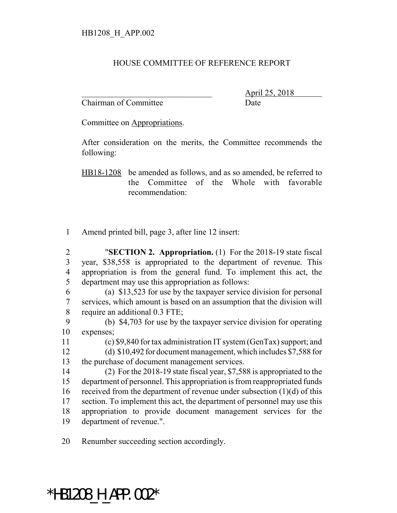## HOUSE COMMITTEE OF REFERENCE REPORT

Chairman of Committee Date

\_\_\_\_\_\_\_\_\_\_\_\_\_\_\_\_\_\_\_\_\_\_\_\_\_\_\_\_\_\_\_ April 25, 2018

Committee on Appropriations.

After consideration on the merits, the Committee recommends the following:

HB18-1208 be amended as follows, and as so amended, be referred to the Committee of the Whole with favorable recommendation:

Amend printed bill, page 3, after line 12 insert:

 "**SECTION 2. Appropriation.** (1) For the 2018-19 state fiscal year, \$38,558 is appropriated to the department of revenue. This appropriation is from the general fund. To implement this act, the department may use this appropriation as follows:

 (a) \$13,523 for use by the taxpayer service division for personal services, which amount is based on an assumption that the division will require an additional 0.3 FTE;

 (b) \$4,703 for use by the taxpayer service division for operating expenses;

(c) \$9,840 for tax administration IT system (GenTax) support; and

 (d) \$10,492 for document management, which includes \$7,588 for the purchase of document management services.

 (2) For the 2018-19 state fiscal year, \$7,588 is appropriated to the department of personnel. This appropriation is from reappropriated funds 16 received from the department of revenue under subsection  $(1)(d)$  of this section. To implement this act, the department of personnel may use this appropriation to provide document management services for the department of revenue.".

Renumber succeeding section accordingly.

## \*HB1208\_H\_APP.002\*